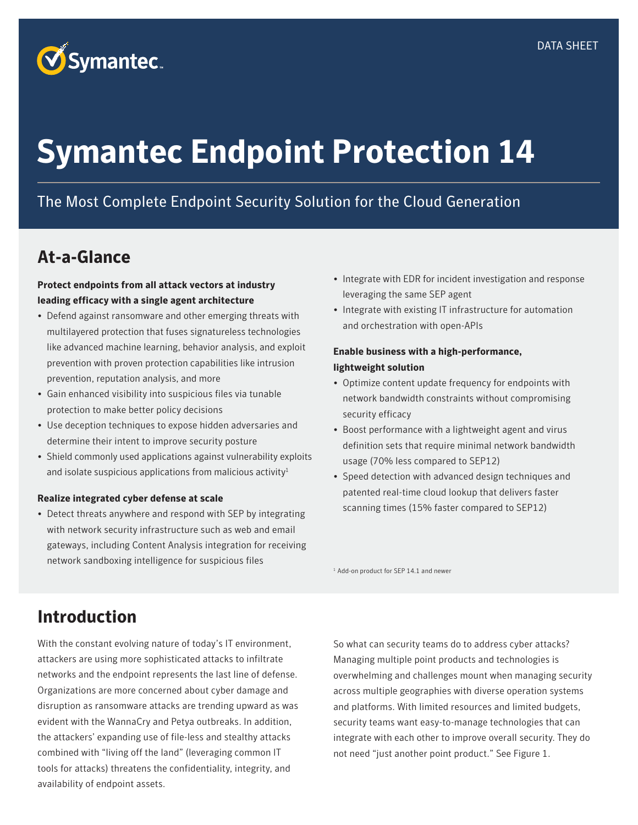

# **Symantec Endpoint Protection 14**

### The Most Complete Endpoint Security Solution for the Cloud Generation

### **At-a-Glance**

#### **Protect endpoints from all attack vectors at industry leading efficacy with a single agent architecture**

- Defend against ransomware and other emerging threats with multilayered protection that fuses signatureless technologies like advanced machine learning, behavior analysis, and exploit prevention with proven protection capabilities like intrusion prevention, reputation analysis, and more
- Gain enhanced visibility into suspicious files via tunable protection to make better policy decisions
- Use deception techniques to expose hidden adversaries and determine their intent to improve security posture
- Shield commonly used applications against vulnerability exploits and isolate suspicious applications from malicious activity $1$

#### **Realize integrated cyber defense at scale**

• Detect threats anywhere and respond with SEP by integrating with network security infrastructure such as web and email gateways, including Content Analysis integration for receiving network sandboxing intelligence for suspicious files

- Integrate with EDR for incident investigation and response leveraging the same SEP agent
- Integrate with existing IT infrastructure for automation and orchestration with open-APIs

#### **Enable business with a high-performance, lightweight solution**

- Optimize content update frequency for endpoints with network bandwidth constraints without compromising security efficacy
- Boost performance with a lightweight agent and virus definition sets that require minimal network bandwidth usage (70% less compared to SEP12)
- Speed detection with advanced design techniques and patented real-time cloud lookup that delivers faster scanning times (15% faster compared to SEP12)

<sup>1</sup> Add-on product for SEP 14.1 and newer

### **Introduction**

With the constant evolving nature of today's IT environment, attackers are using more sophisticated attacks to infiltrate networks and the endpoint represents the last line of defense. Organizations are more concerned about cyber damage and disruption as ransomware attacks are trending upward as was evident with the WannaCry and Petya outbreaks. In addition, the attackers' expanding use of file-less and stealthy attacks combined with "living off the land" (leveraging common IT tools for attacks) threatens the confidentiality, integrity, and availability of endpoint assets.

So what can security teams do to address cyber attacks? Managing multiple point products and technologies is overwhelming and challenges mount when managing security across multiple geographies with diverse operation systems and platforms. With limited resources and limited budgets, security teams want easy-to-manage technologies that can integrate with each other to improve overall security. They do not need "just another point product." See Figure 1.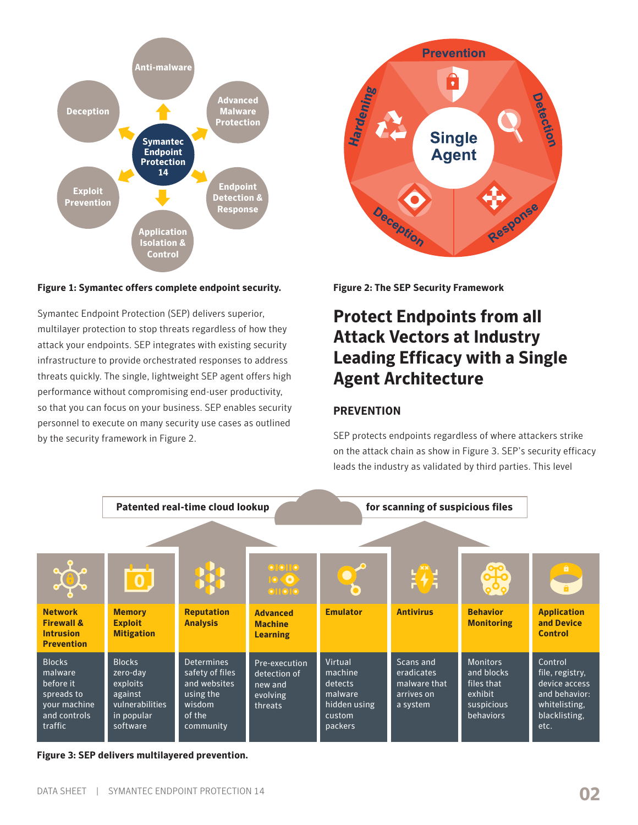

#### **Figure 1: Symantec offers complete endpoint security.**

Symantec Endpoint Protection (SEP) delivers superior, multilayer protection to stop threats regardless of how they attack your endpoints. SEP integrates with existing security infrastructure to provide orchestrated responses to address threats quickly. The single, lightweight SEP agent offers high performance without compromising end-user productivity, so that you can focus on your business. SEP enables security personnel to execute on many security use cases as outlined by the security framework in Figure 2.



**Figure 2: The SEP Security Framework**

### **Protect Endpoints from all Attack Vectors at Industry Leading Efficacy with a Single Agent Architecture**

#### **PREVENTION**

SEP protects endpoints regardless of where attackers strike on the attack chain as show in Figure 3. SEP's security efficacy leads the industry as validated by third parties. This level



**Figure 3: SEP delivers multilayered prevention.**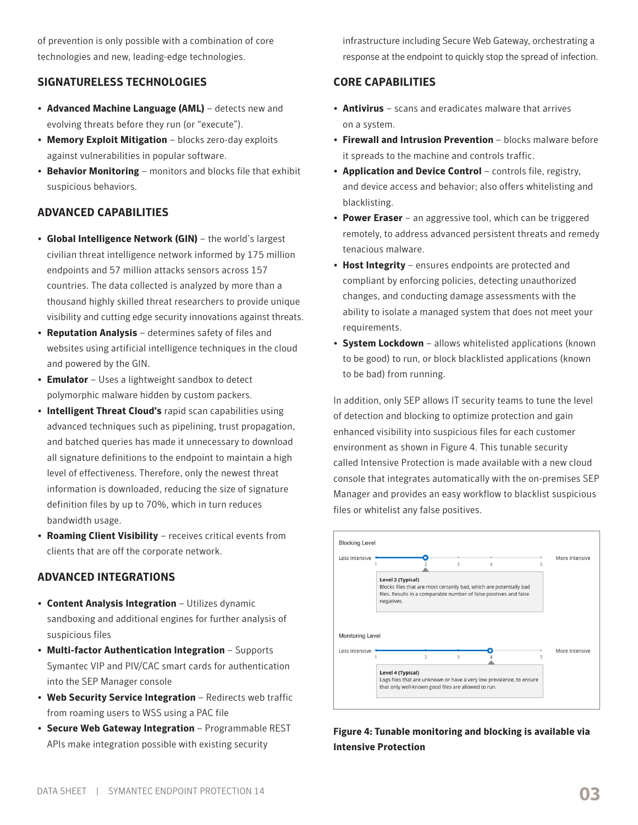of prevention is only possible with a combination of core technologies and new, leading-edge technologies.

#### **SIGNATURELESS TECHNOLOGIES**

- **Advanced Machine Language (AML)** detects new and evolving threats before they run (or "execute").
- **Memory Exploit Mitigation** blocks zero-day exploits against vulnerabilities in popular software.
- **Behavior Monitoring** monitors and blocks file that exhibit suspicious behaviors.

#### **ADVANCED CAPABILITIES**

- **Global Intelligence Network (GIN)** the world's largest civilian threat intelligence network informed by 175 million endpoints and 57 million attacks sensors across 157 countries. The data collected is analyzed by more than a thousand highly skilled threat researchers to provide unique visibility and cutting edge security innovations against threats.
- **Reputation Analysis** determines safety of files and websites using artificial intelligence techniques in the cloud and powered by the GIN.
- **Emulator** Uses a lightweight sandbox to detect polymorphic malware hidden by custom packers.
- **Intelligent Threat Cloud's** rapid scan capabilities using advanced techniques such as pipelining, trust propagation, and batched queries has made it unnecessary to download all signature definitions to the endpoint to maintain a high level of effectiveness. Therefore, only the newest threat information is downloaded, reducing the size of signature definition files by up to 70%, which in turn reduces bandwidth usage.
- **Roaming Client Visibility** receives critical events from clients that are off the corporate network.

#### **ADVANCED INTEGRATIONS**

- **Content Analysis Integration** Utilizes dynamic sandboxing and additional engines for further analysis of suspicious files
- **Multi-factor Authentication Integration** Supports Symantec VIP and PIV/CAC smart cards for authentication into the SEP Manager console
- **Web Security Service Integration** Redirects web traffic from roaming users to WSS using a PAC file
- **Secure Web Gateway Integration** Programmable REST APIs make integration possible with existing security

infrastructure including Secure Web Gateway, orchestrating a response at the endpoint to quickly stop the spread of infection.

#### **CORE CAPABILITIES**

- **Antivirus** scans and eradicates malware that arrives on a system.
- **Firewall and Intrusion Prevention** blocks malware before it spreads to the machine and controls traffic.
- **Application and Device Control** controls file, registry, and device access and behavior; also offers whitelisting and blacklisting.
- **Power Eraser** an aggressive tool, which can be triggered remotely, to address advanced persistent threats and remedy tenacious malware.
- **Host Integrity** ensures endpoints are protected and compliant by enforcing policies, detecting unauthorized changes, and conducting damage assessments with the ability to isolate a managed system that does not meet your requirements.
- **System Lockdown** allows whitelisted applications (known to be good) to run, or block blacklisted applications (known to be bad) from running.

In addition, only SEP allows IT security teams to tune the level of detection and blocking to optimize protection and gain enhanced visibility into suspicious files for each customer environment as shown in Figure 4. This tunable security called Intensive Protection is made available with a new cloud console that integrates automatically with the on-premises SEP Manager and provides an easy workflow to blacklist suspicious files or whitelist any false positives.



**Figure 4: Tunable monitoring and blocking is available via Intensive Protection**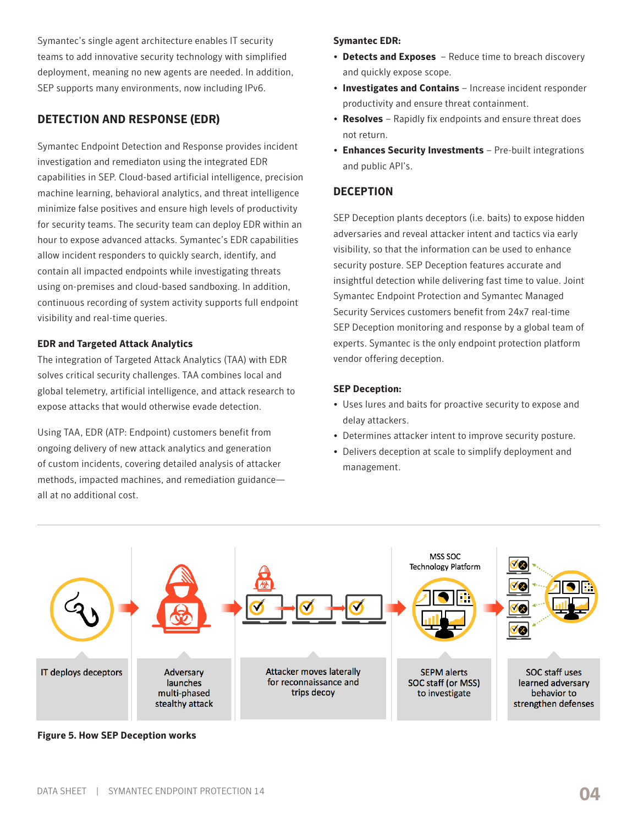Symantec's single agent architecture enables IT security teams to add innovative security technology with simplified deployment, meaning no new agents are needed. In addition, SEP supports many environments, now including IPv6.

### **DETECTION AND RESPONSE (EDR)**

Symantec Endpoint Detection and Response provides incident investigation and remediaton using the integrated EDR capabilities in SEP. Cloud-based artificial intelligence, precision machine learning, behavioral analytics, and threat intelligence minimize false positives and ensure high levels of productivity for security teams. The security team can deploy EDR within an hour to expose advanced attacks. Symantec's EDR capabilities allow incident responders to quickly search, identify, and contain all impacted endpoints while investigating threats using on-premises and cloud-based sandboxing. In addition, continuous recording of system activity supports full endpoint visibility and real-time queries.

#### **EDR and Targeted Attack Analytics**

The integration of Targeted Attack Analytics (TAA) with EDR solves critical security challenges. TAA combines local and global telemetry, artificial intelligence, and attack research to expose attacks that would otherwise evade detection.

Using TAA, EDR (ATP: Endpoint) customers benefit from ongoing delivery of new attack analytics and generation of custom incidents, covering detailed analysis of attacker methods, impacted machines, and remediation guidance all at no additional cost.

#### **Symantec EDR:**

- **Detects and Exposes** Reduce time to breach discovery and quickly expose scope.
- **Investigates and Contains** Increase incident responder productivity and ensure threat containment.
- **Resolves** Rapidly fix endpoints and ensure threat does not return.
- **Enhances Security Investments** Pre-built integrations and public API's.

#### **DECEPTION**

SEP Deception plants deceptors (i.e. baits) to expose hidden adversaries and reveal attacker intent and tactics via early visibility, so that the information can be used to enhance security posture. SEP Deception features accurate and insightful detection while delivering fast time to value. Joint Symantec Endpoint Protection and Symantec Managed Security Services customers benefit from 24x7 real-time SEP Deception monitoring and response by a global team of experts. Symantec is the only endpoint protection platform vendor offering deception.

#### **SEP Deception:**

- Uses lures and baits for proactive security to expose and delay attackers.
- Determines attacker intent to improve security posture.
- Delivers deception at scale to simplify deployment and management.



**Figure 5. How SEP Deception works**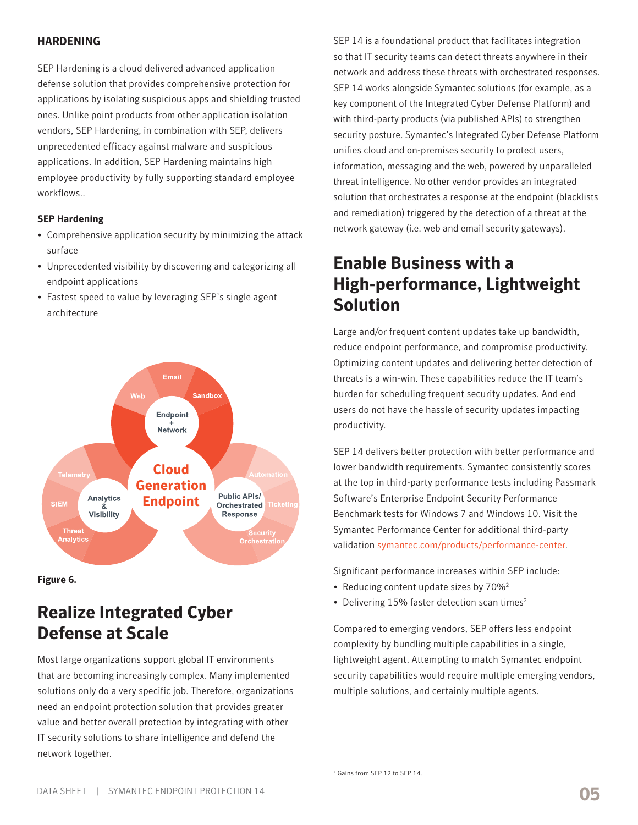#### **HARDENING**

SEP Hardening is a cloud delivered advanced application defense solution that provides comprehensive protection for applications by isolating suspicious apps and shielding trusted ones. Unlike point products from other application isolation vendors, SEP Hardening, in combination with SEP, delivers unprecedented efficacy against malware and suspicious applications. In addition, SEP Hardening maintains high employee productivity by fully supporting standard employee workflows..

#### **SEP Hardening**

- Comprehensive application security by minimizing the attack surface
- Unprecedented visibility by discovering and categorizing all endpoint applications
- Fastest speed to value by leveraging SEP's single agent architecture



**Figure 6.**

### **Realize Integrated Cyber Defense at Scale**

Most large organizations support global IT environments that are becoming increasingly complex. Many implemented solutions only do a very specific job. Therefore, organizations need an endpoint protection solution that provides greater value and better overall protection by integrating with other IT security solutions to share intelligence and defend the network together.

SEP 14 is a foundational product that facilitates integration so that IT security teams can detect threats anywhere in their network and address these threats with orchestrated responses. SEP 14 works alongside Symantec solutions (for example, as a key component of the Integrated Cyber Defense Platform) and with third-party products (via published APIs) to strengthen security posture. Symantec's Integrated Cyber Defense Platform unifies cloud and on-premises security to protect users, information, messaging and the web, powered by unparalleled threat intelligence. No other vendor provides an integrated solution that orchestrates a response at the endpoint (blacklists and remediation) triggered by the detection of a threat at the network gateway (i.e. web and email security gateways).

### **Enable Business with a High-performance, Lightweight Solution**

Large and/or frequent content updates take up bandwidth, reduce endpoint performance, and compromise productivity. Optimizing content updates and delivering better detection of threats is a win-win. These capabilities reduce the IT team's burden for scheduling frequent security updates. And end users do not have the hassle of security updates impacting productivity.

SEP 14 delivers better protection with better performance and lower bandwidth requirements. Symantec consistently scores at the top in third-party performance tests including Passmark Software's Enterprise Endpoint Security Performance Benchmark tests for Windows 7 and Windows 10. Visit the Symantec Performance Center for additional third-party validation [symantec.com/products/performance-center.](http://symantec.com/products/performance-center)

Significant performance increases within SEP include:

- Reducing content update sizes by 70%<sup>2</sup>
- Delivering 15% faster detection scan times<sup>2</sup>

Compared to emerging vendors, SEP offers less endpoint complexity by bundling multiple capabilities in a single, lightweight agent. Attempting to match Symantec endpoint security capabilities would require multiple emerging vendors, multiple solutions, and certainly multiple agents.

<sup>2</sup> Gains from SEP 12 to SEP 14.